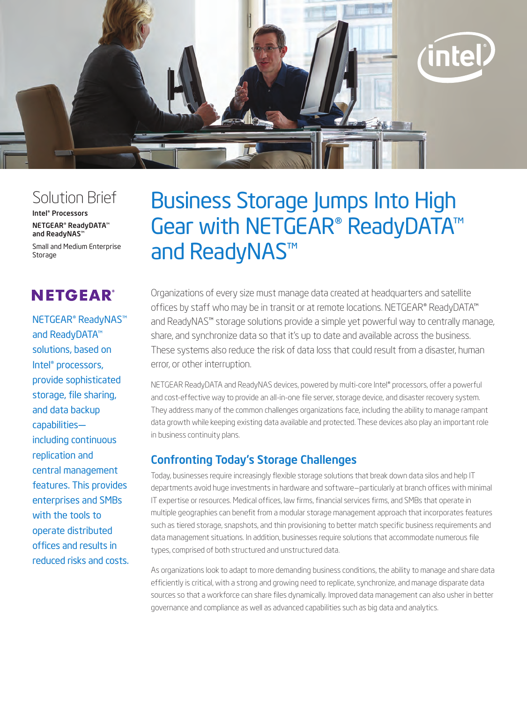

## Solution Brief

Intel® Processors

NETGEAR® ReadyDATA™ and ReadyNAS™

Small and Medium Enterprise Storage

# **NETGEAR®**

NETGEAR® ReadyNAS™ and ReadyDATA™ solutions, based on Intel® processors, provide sophisticated storage, file sharing, and data backup capabilities including continuous replication and central management features. This provides enterprises and SMBs with the tools to operate distributed offices and results in reduced risks and costs.

# Business Storage Jumps Into High Gear with NETGEAR® ReadyDATA™ and ReadyNAS™

Organizations of every size must manage data created at headquarters and satellite offices by staff who may be in transit or at remote locations. NETGEAR® ReadyDATA™ and ReadyNAS™ storage solutions provide a simple yet powerful way to centrally manage, share, and synchronize data so that it's up to date and available across the business. These systems also reduce the risk of data loss that could result from a disaster, human error, or other interruption.

NETGEAR ReadyDATA and ReadyNAS devices, powered by multi-core Intel® processors, offer a powerful and cost-effective way to provide an all-in-one file server, storage device, and disaster recovery system. They address many of the common challenges organizations face, including the ability to manage rampant data growth while keeping existing data available and protected. These devices also play an important role in business continuity plans.

## Confronting Today's Storage Challenges

Today, businesses require increasingly flexible storage solutions that break down data silos and help IT departments avoid huge investments in hardware and software—particularly at branch offices with minimal IT expertise or resources. Medical offices, law firms, financial services firms, and SMBs that operate in multiple geographies can benefit from a modular storage management approach that incorporates features such as tiered storage, snapshots, and thin provisioning to better match specific business requirements and data management situations. In addition, businesses require solutions that accommodate numerous file types, comprised of both structured and unstructured data.

As organizations look to adapt to more demanding business conditions, the ability to manage and share data efficiently is critical, with a strong and growing need to replicate, synchronize, and manage disparate data sources so that a workforce can share files dynamically. Improved data management can also usher in better governance and compliance as well as advanced capabilities such as big data and analytics.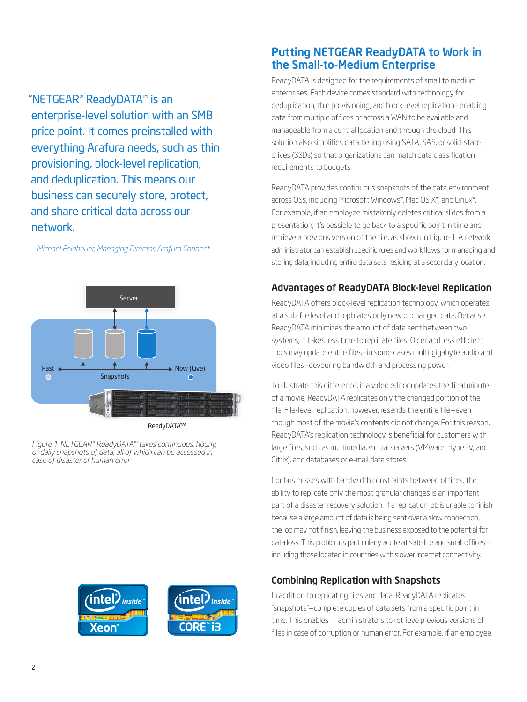"NETGEAR® ReadyDATA™ is an enterprise-level solution with an SMB price point. It comes preinstalled with everything Arafura needs, such as thin provisioning, block-level replication, and deduplication. This means our business can securely store, protect, and share critical data across our network.

*– Michael Feldbauer, Managing Director, Arafura Connect*



ReadyDATA ™

*Figure 1. NETGEAR® ReadyDATA™ takes continuous, hourly, or daily snapshots of data, all of which can be accessed in case of disaster or human error.*



inside

## Putting NETGEAR ReadyDATA to Work in the Small-to-Medium Enterprise

ReadyDATA is designed for the requirements of small to medium enterprises. Each device comes standard with technology for deduplication, thin provisioning, and block-level replication—enabling data from multiple offices or across a WAN to be available and manageable from a central location and through the cloud. This solution also simplifies data tiering using SATA, SAS, or solid-state drives (SSDs) so that organizations can match data classification requirements to budgets.

ReadyDATA provides continuous snapshots of the data environment across OSs, including Microsoft Windows\*, Mac OS X\*, and Linux\*. For example, if an employee mistakenly deletes critical slides from a presentation, it's possible to go back to a specific point in time and retrieve a previous version of the file, as shown in Figure 1. A network administrator can establish specific rules and workflows for managing and storing data, including entire data sets residing at a secondary location.

## Advantages of ReadyDATA Block-level Replication

ReadyDATA offers block-level replication technology, which operates at a sub-file level and replicates only new or changed data. Because ReadyDATA minimizes the amount of data sent between two systems, it takes less time to replicate files. Older and less efficient tools may update entire files—in some cases multi-gigabyte audio and video files—devouring bandwidth and processing power.

To illustrate this difference, if a video editor updates the final minute of a movie, ReadyDATA replicates only the changed portion of the file. File-level replication, however, resends the entire file—even though most of the movie's contents did not change. For this reason, ReadyDATA's replication technology is beneficial for customers with large files, such as multimedia, virtual servers (VMware, Hyper-V, and Citrix), and databases or e-mail data stores.

For businesses with bandwidth constraints between offices, the ability to replicate only the most granular changes is an important part of a disaster recovery solution. If a replication job is unable to finish because a large amount of data is being sent over a slow connection, the job may not finish, leaving the business exposed to the potential for data loss. This problem is particularly acute at satellite and small offices including those located in countries with slower Internet connectivity.

#### Combining Replication with Snapshots

In addition to replicating files and data, ReadyDATA replicates "snapshots"—complete copies of data sets from a specific point in time. This enables IT administrators to retrieve previous versions of files in case of corruption or human error. For example, if an employee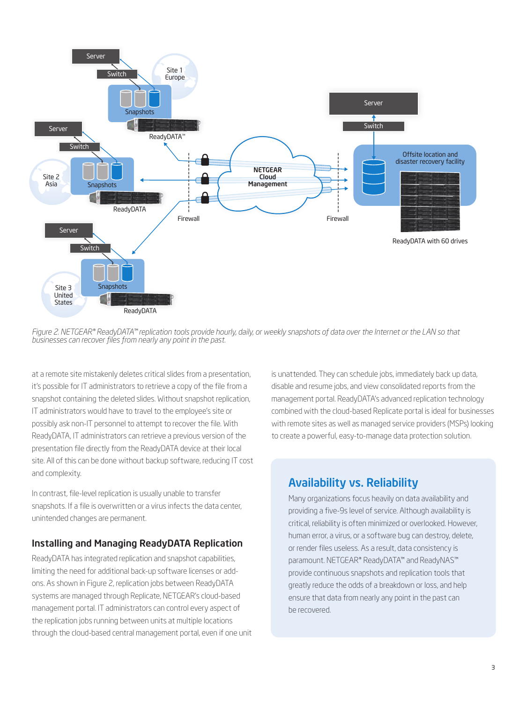

*Figure 2. NETGEAR® ReadyDATA™ replication tools provide hourly, daily, or weekly snapshots of data over the Internet or the LAN so that businesses can recover files from nearly any point in the past.*

at a remote site mistakenly deletes critical slides from a presentation, it's possible for IT administrators to retrieve a copy of the file from a snapshot containing the deleted slides. Without snapshot replication, IT administrators would have to travel to the employee's site or possibly ask non-IT personnel to attempt to recover the file. With ReadyDATA, IT administrators can retrieve a previous version of the presentation file directly from the ReadyDATA device at their local site. All of this can be done without backup software, reducing IT cost and complexity.

In contrast, file-level replication is usually unable to transfer snapshots. If a file is overwritten or a virus infects the data center, unintended changes are permanent.

#### Installing and Managing ReadyDATA Replication

ReadyDATA has integrated replication and snapshot capabilities, limiting the need for additional back-up software licenses or addons. As shown in Figure 2, replication jobs between ReadyDATA systems are managed through Replicate, NETGEAR's cloud-based management portal. IT administrators can control every aspect of the replication jobs running between units at multiple locations through the cloud-based central management portal, even if one unit is unattended. They can schedule jobs, immediately back up data, disable and resume jobs, and view consolidated reports from the management portal. ReadyDATA's advanced replication technology combined with the cloud-based Replicate portal is ideal for businesses with remote sites as well as managed service providers (MSPs) looking to create a powerful, easy-to-manage data protection solution.

## Availability vs. Reliability

Many organizations focus heavily on data availability and providing a five-9s level of service. Although availability is critical, reliability is often minimized or overlooked. However, human error, a virus, or a software bug can destroy, delete, or render files useless. As a result, data consistency is paramount. NETGEAR® ReadyDATA™ and ReadyNAS™ provide continuous snapshots and replication tools that greatly reduce the odds of a breakdown or loss, and help ensure that data from nearly any point in the past can be recovered.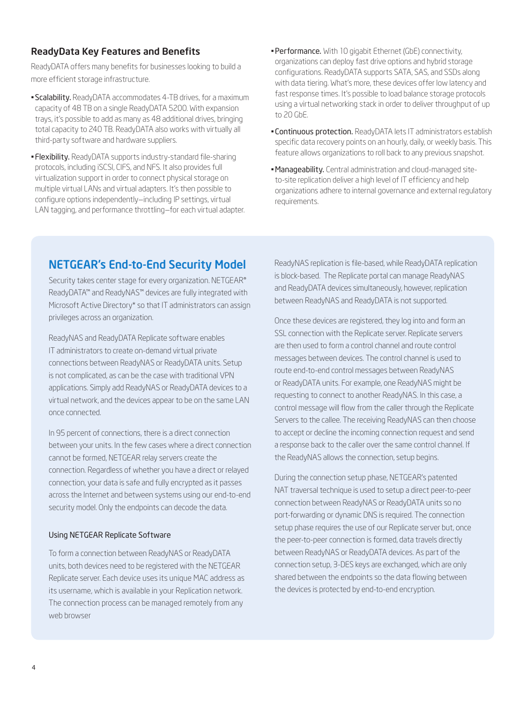#### ReadyData Key Features and Benefits

ReadyDATA offers many benefits for businesses looking to build a more efficient storage infrastructure.

- **Scalability.** ReadyDATA accommodates 4-TB drives, for a maximum capacity of 48 TB on a single ReadyDATA 5200. With expansion trays, it's possible to add as many as 48 additional drives, bringing total capacity to 240 TB. ReadyDATA also works with virtually all third-party software and hardware suppliers.
- **Flexibility.** ReadyDATA supports industry-standard file-sharing protocols, including iSCSI, CIFS, and NFS. It also provides full virtualization support in order to connect physical storage on multiple virtual LANs and virtual adapters. It's then possible to configure options independently—including IP settings, virtual LAN tagging, and performance throttling—for each virtual adapter.
- **Performance.** With 10 gigabit Ethernet (GbE) connectivity, organizations can deploy fast drive options and hybrid storage configurations. ReadyDATA supports SATA, SAS, and SSDs along with data tiering. What's more, these devices offer low latency and fast response times. It's possible to load balance storage protocols using a virtual networking stack in order to deliver throughput of up to 20 GbE.
- **Continuous protection.** ReadyDATA lets IT administrators establish specific data recovery points on an hourly, daily, or weekly basis. This feature allows organizations to roll back to any previous snapshot.
- Manageability. Central administration and cloud-managed siteto-site replication deliver a high level of IT efficiency and help organizations adhere to internal governance and external regulatory requirements.

## NETGEAR's End-to-End Security Model

Security takes center stage for every organization. NETGEAR® ReadyDATA™ and ReadyNAS™ devices are fully integrated with Microsoft Active Directory\* so that IT administrators can assign privileges across an organization.

ReadyNAS and ReadyDATA Replicate software enables IT administrators to create on-demand virtual private connections between ReadyNAS or ReadyDATA units. Setup is not complicated, as can be the case with traditional VPN applications. Simply add ReadyNAS or ReadyDATA devices to a virtual network, and the devices appear to be on the same LAN once connected.

In 95 percent of connections, there is a direct connection between your units. In the few cases where a direct connection cannot be formed, NETGEAR relay servers create the connection. Regardless of whether you have a direct or relayed connection, your data is safe and fully encrypted as it passes across the Internet and between systems using our end-to-end security model. Only the endpoints can decode the data.

#### Using NETGEAR Replicate Software

To form a connection between ReadyNAS or ReadyDATA units, both devices need to be registered with the NETGEAR Replicate server. Each device uses its unique MAC address as its username, which is available in your Replication network. The connection process can be managed remotely from any web browser

ReadyNAS replication is file-based, while ReadyDATA replication is block-based. The Replicate portal can manage ReadyNAS and ReadyDATA devices simultaneously, however, replication between ReadyNAS and ReadyDATA is not supported.

Once these devices are registered, they log into and form an SSL connection with the Replicate server. Replicate servers are then used to form a control channel and route control messages between devices. The control channel is used to route end-to-end control messages between ReadyNAS or ReadyDATA units. For example, one ReadyNAS might be requesting to connect to another ReadyNAS. In this case, a control message will flow from the caller through the Replicate Servers to the callee. The receiving ReadyNAS can then choose to accept or decline the incoming connection request and send a response back to the caller over the same control channel. If the ReadyNAS allows the connection, setup begins.

During the connection setup phase, NETGEAR's patented NAT traversal technique is used to setup a direct peer-to-peer connection between ReadyNAS or ReadyDATA units so no port-forwarding or dynamic DNS is required. The connection setup phase requires the use of our Replicate server but, once the peer-to-peer connection is formed, data travels directly between ReadyNAS or ReadyDATA devices. As part of the connection setup, 3-DES keys are exchanged, which are only shared between the endpoints so the data flowing between the devices is protected by end-to-end encryption.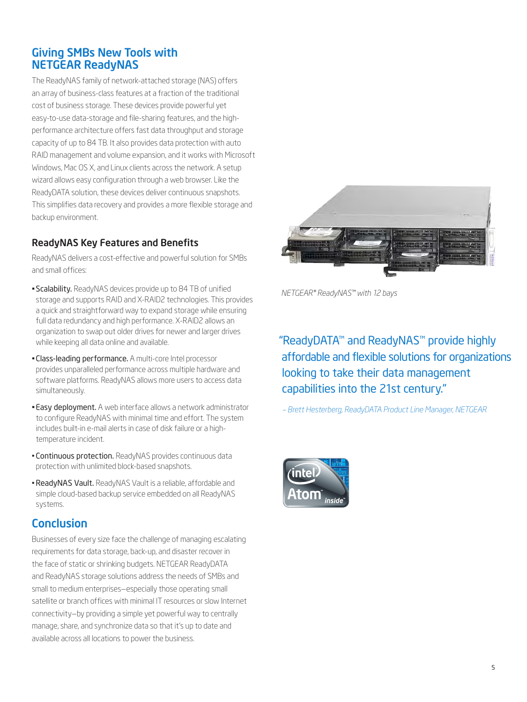## Giving SMBs New Tools with NETGEAR ReadyNAS

The ReadyNAS family of network-attached storage (NAS) offers an array of business-class features at a fraction of the traditional cost of business storage. These devices provide powerful yet easy-to-use data-storage and file-sharing features, and the highperformance architecture offers fast data throughput and storage capacity of up to 84 TB. It also provides data protection with auto RAID management and volume expansion, and it works with Microsoft Windows, Mac OS X, and Linux clients across the network. A setup wizard allows easy configuration through a web browser. Like the ReadyDATA solution, these devices deliver continuous snapshots. This simplifies data recovery and provides a more flexible storage and backup environment.

#### ReadyNAS Key Features and Benefits

ReadyNAS delivers a cost-effective and powerful solution for SMBs and small offices:

- **Scalability.** ReadyNAS devices provide up to 84 TB of unified storage and supports RAID and X-RAID2 technologies. This provides a quick and straightforward way to expand storage while ensuring full data redundancy and high performance. X-RAID2 allows an organization to swap out older drives for newer and larger drives while keeping all data online and available.
- **Class-leading performance.** A multi-core Intel processor provides unparalleled performance across multiple hardware and software platforms. ReadyNAS allows more users to access data simultaneously.
- **Easy deployment.** A web interface allows a network administrator to configure ReadyNAS with minimal time and effort. The system includes built-in e-mail alerts in case of disk failure or a hightemperature incident.
- **Continuous protection.** ReadyNAS provides continuous data protection with unlimited block-based snapshots.
- •ReadyNAS Vault. ReadyNAS Vault is a reliable, affordable and simple cloud-based backup service embedded on all ReadyNAS systems.

## **Conclusion**

Businesses of every size face the challenge of managing escalating requirements for data storage, back-up, and disaster recover in the face of static or shrinking budgets. NETGEAR ReadyDATA and ReadyNAS storage solutions address the needs of SMBs and small to medium enterprises—especially those operating small satellite or branch offices with minimal IT resources or slow Internet connectivity—by providing a simple yet powerful way to centrally manage, share, and synchronize data so that it's up to date and available across all locations to power the business.



*NETGEAR® ReadyNAS™ with 12 bays*

## "ReadyDATA™ and ReadyNAS™ provide highly affordable and flexible solutions for organizations looking to take their data management capabilities into the 21st century."

*– Brett Hesterberg, ReadyDATA Product Line Manager, NETGEAR*